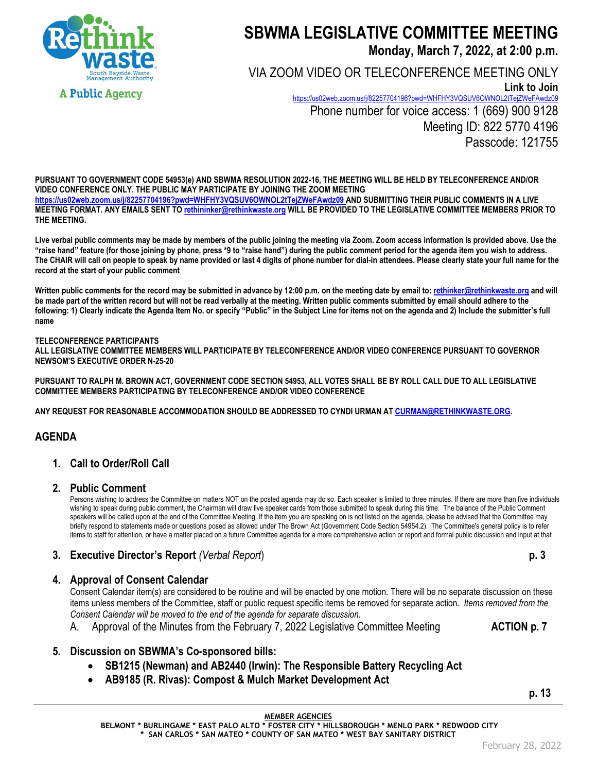

# **SBWMA LEGISLATIVE COMMITTEE MEETING**

**Monday, March 7, 2022, at 2:00 p.m.**

VIA ZOOM VIDEO OR TELECONFERENCE MEETING ONLY **Link to Join** <https://us02web.zoom.us/j/82257704196?pwd=WHFHY3VQSUV6OWNOL2tTejZWeFAwdz09> Phone number for voice access: 1 (669) 900 9128 Meeting ID: 822 5770 4196 Passcode: 121755

**PURSUANT TO GOVERNMENT CODE 54953(e) AND SBWMA RESOLUTION 2022-16, THE MEETING WILL BE HELD BY TELECONFERENCE AND/OR VIDEO CONFERENCE ONLY. THE PUBLIC MAY PARTICIPATE BY JOINING THE ZOOM MEETING <https://us02web.zoom.us/j/82257704196?pwd=WHFHY3VQSUV6OWNOL2tTejZWeFAwdz09> AND SUBMITTING THEIR PUBLIC COMMENTS IN A LIVE MEETING FORMAT. ANY EMAILS SENT TO rethininker@rethinkwaste.org WILL BE PROVIDED TO THE LEGISLATIVE COMMITTEE MEMBERS PRIOR TO THE MEETING.**

**Live verbal public comments may be made by members of the public joining the meeting via Zoom. Zoom access information is provided above. Use the "raise hand" feature (for those joining by phone, press \*9 to "raise hand") during the public comment period for the agenda item you wish to address. The CHAIR will call on people to speak by name provided or last 4 digits of phone number for dial-in attendees. Please clearly state your full name for the record at the start of your public comment**

**Written public comments for the record may be submitted in advance by 12:00 p.m. on the meeting date by email to: rethinker@rethinkwaste.org and will be made part of the written record but will not be read verbally at the meeting. Written public comments submitted by email should adhere to the following: 1) Clearly indicate the Agenda Item No. or specify "Public" in the Subject Line for items not on the agenda and 2) Include the submitter's full name**

#### **TELECONFERENCE PARTICIPANTS**

**ALL LEGISLATIVE COMMITTEE MEMBERS WILL PARTICIPATE BY TELECONFERENCE AND/OR VIDEO CONFERENCE PURSUANT TO GOVERNOR NEWSOM'S EXECUTIVE ORDER N-25-20**

**PURSUANT TO RALPH M. BROWN ACT, GOVERNMENT CODE SECTION 54953, ALL VOTES SHALL BE BY ROLL CALL DUE TO ALL LEGISLATIVE COMMITTEE MEMBERS PARTICIPATING BY TELECONFERENCE AND/OR VIDEO CONFERENCE**

**ANY REQUEST FOR REASONABLE ACCOMMODATION SHOULD BE ADDRESSED TO CYNDI URMAN A[T CURMAN@RETHINKWASTE.ORG.](mailto:CURMAN@RETHINKWASTE.ORG)** 

## **AGENDA**

## **1. Call to Order/Roll Call**

#### **2. Public Comment**

Persons wishing to address the Committee on matters NOT on the posted agenda may do so. Each speaker is limited to three minutes. If there are more than five individuals wishing to speak during public comment, the Chairman will draw five speaker cards from those submitted to speak during this time. The balance of the Public Comment speakers will be called upon at the end of the Committee Meeting. If the item you are speaking on is not listed on the agenda, please be advised that the Committee may briefly respond to statements made or questions posed as allowed under The Brown Act (Government Code Section 54954.2). The Committee's general policy is to refer items to staff for attention, or have a matter placed on a future Committee agenda for a more comprehensive action or report and formal public discussion and input at that

## **3. Executive Director's Report** *(Verbal Report*) **p. 3**

### **4. Approval of Consent Calendar**

Consent Calendar item(s) are considered to be routine and will be enacted by one motion. There will be no separate discussion on these items unless members of the Committee, staff or public request specific items be removed for separate action. *Items removed from the Consent Calendar will be moved to the end of the agenda for separate discussion*.

- A. Approval of the Minutes from the February 7, 2022 Legislative Committee Meeting **ACTION p. 7**
- 

## **5. Discussion on SBWMA's Co-sponsored bills:**

- **SB1215 (Newman) and AB2440 (Irwin): The Responsible Battery Recycling Act**
- **AB9185 (R. Rivas): Compost & Mulch Market Development Act**

**p. 13**